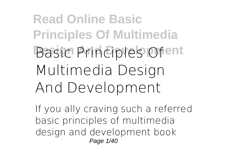## **Read Online Basic Principles Of Multimedia Basic Principles Ofent Multimedia Design And Development**

If you ally craving such a referred **basic principles of multimedia design and development** book Page 1/40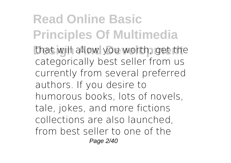**Read Online Basic Principles Of Multimedia** that will allow you worth, get the categorically best seller from us currently from several preferred authors. If you desire to humorous books, lots of novels, tale, jokes, and more fictions collections are also launched, from best seller to one of the Page 2/40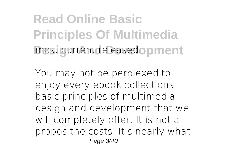**Read Online Basic Principles Of Multimedia** most current releasedopment

You may not be perplexed to eniov every ebook collections basic principles of multimedia design and development that we will completely offer. It is not a propos the costs. It's nearly what Page 3/40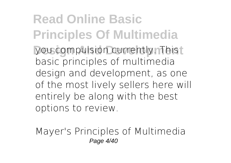**Read Online Basic Principles Of Multimedia Vou compulsion currently. This** basic principles of multimedia design and development, as one of the most lively sellers here will entirely be along with the best options to review.

*Mayer's Principles of Multimedia* Page 4/40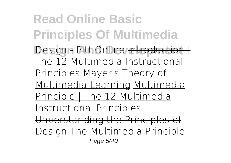**Read Online Basic Principles Of Multimedia Design - Pitt Online** Introduction The 12 Multimedia Instructional Principles Mayer's Theory of Multimedia Learning Multimedia Principle | The 12 Multimedia Instructional Principles Understanding the Principles of Design The Multimedia Principle Page 5/40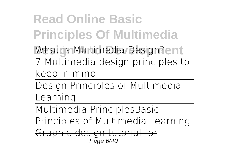**Read Online Basic Principles Of Multimedia What is Multimedia Design?ent** 7 Multimedia design principles to keep in mind

Design Principles of Multimedia Learning

Multimedia Principles*Basic Principles of Multimedia Learning* Graphic design tutorial for Page 6/40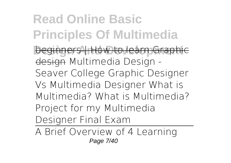**Read Online Basic Principles Of Multimedia Deginners | How to learn Graphic** design *Multimedia Design - Seaver College Graphic Designer Vs Multimedia Designer* **What is Multimedia? What is Multimedia?** Project for my Multimedia Designer Final Exam

A Brief Overview of 4 Learning Page 7/40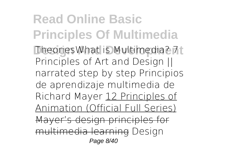**Read Online Basic Principles Of Multimedia Design And Development** Theories*What is Multimedia?* 7 Principles of Art and Design || narrated step by step *Principios de aprendizaje multimedia de Richard Mayer* 12 Principles of Animation (Official Full Series) Mayer's design principles for multimedia learning **Design** Page 8/40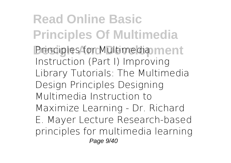**Read Online Basic Principles Of Multimedia Principles for Multimedia ment Instruction (Part I)** *Improving Library Tutorials: The Multimedia Design Principles* Designing Multimedia Instruction to Maximize Learning - Dr. Richard E. Mayer Lecture Research-based principles for multimedia learning Page 9/40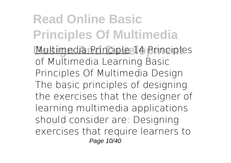**Read Online Basic Principles Of Multimedia Multimedia Principle 14 Principles** of Multimedia Learning **Basic Principles Of Multimedia Design** The basic principles of designing the exercises that the designer of learning multimedia applications should consider are: Designing exercises that require learners to Page 10/40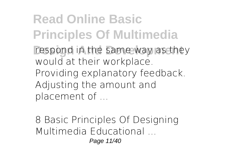**Read Online Basic Principles Of Multimedia** respond in the same way as they would at their workplace. Providing explanatory feedback. Adjusting the amount and placement of ...

**8 Basic Principles Of Designing Multimedia Educational ...** Page 11/40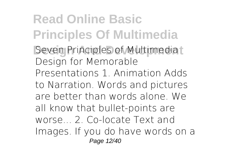**Read Online Basic Principles Of Multimedia Seven Principles of Multimediat** Design for Memorable Presentations 1. Animation Adds to Narration. Words and pictures are better than words alone. We all know that bullet-points are worse... 2. Co-locate Text and Images. If you do have words on a Page 12/40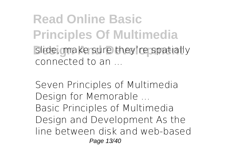**Read Online Basic Principles Of Multimedia** slide, make sure they're spatially connected to an ...

**Seven Principles of Multimedia Design for Memorable ...** Basic Principles of Multimedia Design and Development As the line between disk and web-based Page 13/40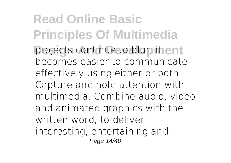**Read Online Basic Principles Of Multimedia** projects continue to blur, it ent becomes easier to communicate effectively using either or both. Capture and hold attention with multimedia. Combine audio, video and animated graphics with the written word, to deliver interesting, entertaining and Page 14/40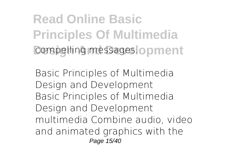**Read Online Basic Principles Of Multimedia** compelling messages.coment

**Basic Principles of Multimedia Design and Development** Basic Principles of Multimedia Design and Development multimedia Combine audio, video and animated graphics with the Page 15/40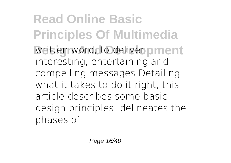**Read Online Basic Principles Of Multimedia** written word, to deliver oment interesting, entertaining and compelling messages Detailing what it takes to do it right, this article describes some basic design principles, delineates the phases of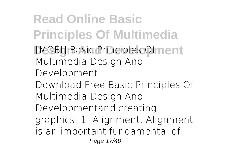**Read Online Basic Principles Of Multimedia [MOBI] Basic Principles Of nent Multimedia Design And Development** Download Free Basic Principles Of Multimedia Design And Developmentand creating graphics. 1. Alignment. Alignment is an important fundamental of Page 17/40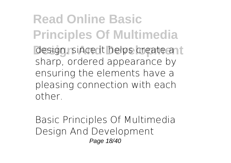**Read Online Basic Principles Of Multimedia design, since it helps create ant** sharp, ordered appearance by ensuring the elements have a pleasing connection with each other.

**Basic Principles Of Multimedia Design And Development** Page 18/40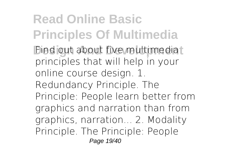**Read Online Basic Principles Of Multimedia Bind out about five multimediat** principles that will help in your online course design. 1. Redundancy Principle. The Principle: People learn better from graphics and narration than from graphics, narration... 2. Modality Principle. The Principle: People Page 19/40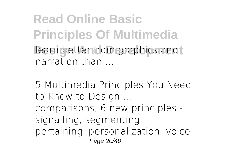**Read Online Basic Principles Of Multimedia** learn better from graphics and **L** narration than

**5 Multimedia Principles You Need to Know to Design ...** comparisons, 6 new principles signalling, segmenting, pertaining, personalization, voice Page 20/40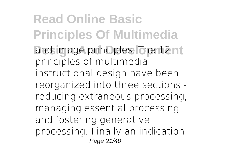**Read Online Basic Principles Of Multimedia** and image principles. The 12nt principles of multimedia instructional design have been reorganized into three sections reducing extraneous processing, managing essential processing and fostering generative processing. Finally an indication Page 21/40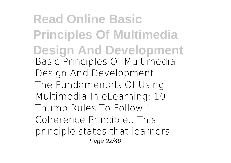**Read Online Basic Principles Of Multimedia Design And Development Basic Principles Of Multimedia Design And Development ...** The Fundamentals Of Using Multimedia In eLearning: 10 Thumb Rules To Follow 1. Coherence Principle.. This principle states that learners Page 22/40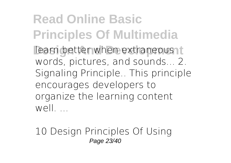**Read Online Basic Principles Of Multimedia Dearn better when extraneous to** words, pictures, and sounds... 2. Signaling Principle.. This principle encourages developers to organize the learning content  $W \cap \mathcal{L}$ 

**10 Design Principles Of Using** Page 23/40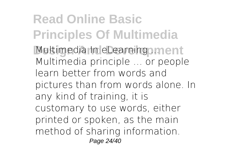**Read Online Basic Principles Of Multimedia Multimedia In eLearning ... ment** Multimedia principle … or people learn better from words and pictures than from words alone. In any kind of training, it is customary to use words, either printed or spoken, as the main method of sharing information. Page 24/40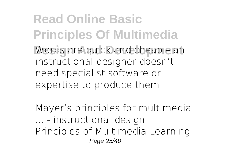**Read Online Basic Principles Of Multimedia Words are quick and cheap – and cheap** instructional designer doesn't need specialist software or expertise to produce them.

**Mayer's principles for multimedia ... - instructional design** Principles of Multimedia Learning Page 25/40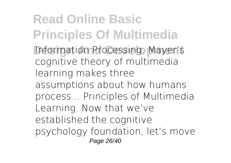**Read Online Basic Principles Of Multimedia Information Processing. Mayer's** cognitive theory of multimedia learning makes three assumptions about how humans process... Principles of Multimedia Learning. Now that we've established the cognitive psychology foundation, let's move Page 26/40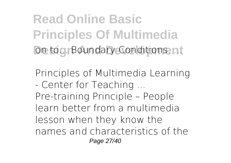**Read Online Basic Principles Of Multimedia Design Boundary Conditions. ...** 

**Principles of Multimedia Learning - Center for Teaching ...** Pre-training Principle – People learn better from a multimedia lesson when they know the names and characteristics of the Page 27/40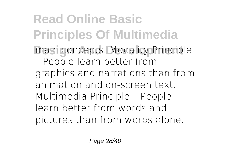**Read Online Basic Principles Of Multimedia Main concepts. Modality Principle** – People learn better from graphics and narrations than from animation and on-screen text. Multimedia Principle – People learn better from words and pictures than from words alone.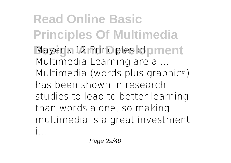**Read Online Basic Principles Of Multimedia Mayer's 12 Principles of pment Multimedia Learning are a ...** Multimedia (words plus graphics) has been shown in research studies to lead to better learning than words alone, so making multimedia is a great investment i...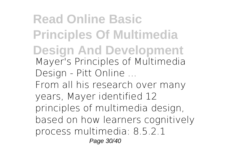**Read Online Basic Principles Of Multimedia Design And Development Mayer's Principles of Multimedia Design - Pitt Online ...** From all his research over many years, Mayer identified 12 principles of multimedia design, based on how learners cognitively process multimedia: 8.5.2.1 Page 30/40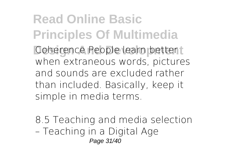**Read Online Basic Principles Of Multimedia Coherence People learn bettert** when extraneous words, pictures and sounds are excluded rather than included. Basically, keep it simple in media terms.

**8.5 Teaching and media selection – Teaching in a Digital Age** Page 31/40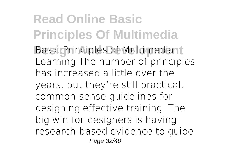**Read Online Basic Principles Of Multimedia Basic Principles of Multimediant** Learning The number of principles has increased a little over the years, but they're still practical, common-sense guidelines for designing effective training. The big win for designers is having research-based evidence to guide Page 32/40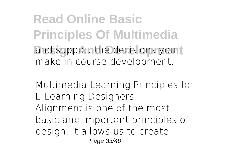**Read Online Basic Principles Of Multimedia** and support the decisions you t make in course development.

**Multimedia Learning Principles for E-Learning Designers** Alignment is one of the most basic and important principles of design. It allows us to create Page 33/40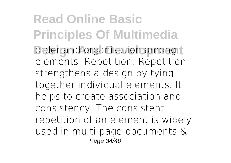**Read Online Basic Principles Of Multimedia Design And Development** order and organisation among t elements. Repetition. Repetition strengthens a design by tying together individual elements. It helps to create association and consistency. The consistent repetition of an element is widely used in multi-page documents & Page 34/40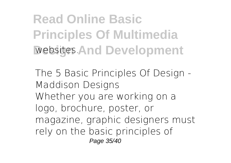**Read Online Basic Principles Of Multimedia Websites. And Development** 

**The 5 Basic Principles Of Design - Maddison Designs** Whether you are working on a logo, brochure, poster, or magazine, graphic designers must rely on the basic principles of Page 35/40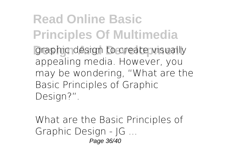**Read Online Basic Principles Of Multimedia graphic design to create visually** appealing media. However, you may be wondering, "What are the Basic Principles of Graphic Design?".

**What are the Basic Principles of Graphic Design - JG ...** Page 36/40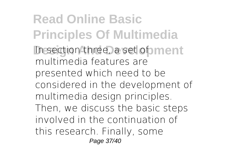**Read Online Basic Principles Of Multimedia** In section three, a set of ment multimedia features are presented which need to be considered in the development of multimedia design principles. Then, we discuss the basic steps involved in the continuation of this research. Finally, some Page 37/40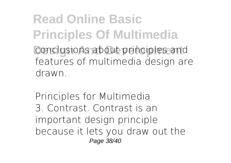**Read Online Basic Principles Of Multimedia** conclusions about principles and features of multimedia design are drawn.

**Principles for Multimedia** 3. Contrast. Contrast is an important design principle because it lets you draw out the Page 38/40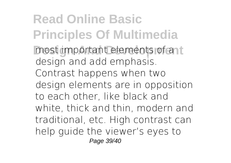**Read Online Basic Principles Of Multimedia** most important elements of ant design and add emphasis. Contrast happens when two design elements are in opposition to each other, like black and white, thick and thin, modern and traditional, etc. High contrast can help guide the viewer's eyes to Page 39/40